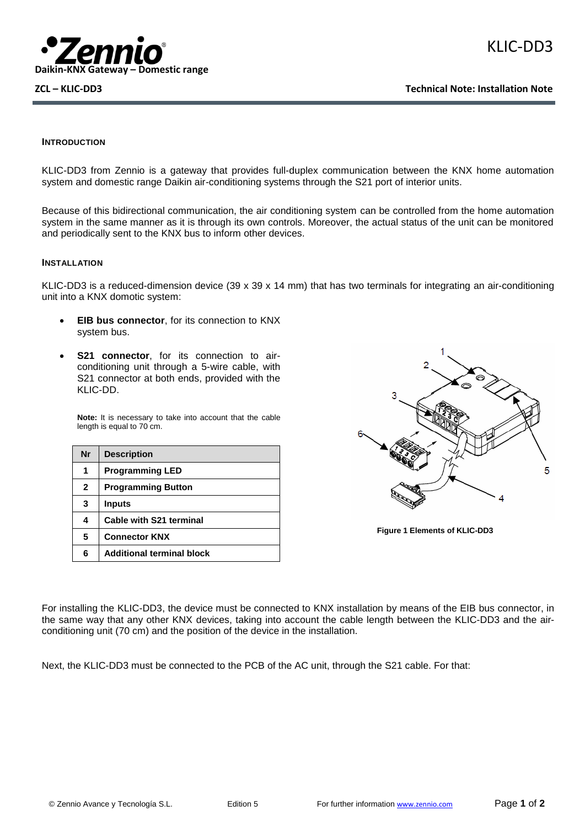

### **INTRODUCTION**

KLIC-DD3 from Zennio is a gateway that provides full-duplex communication between the KNX home automation system and domestic range Daikin air-conditioning systems through the S21 port of interior units.

Because of this bidirectional communication, the air conditioning system can be controlled from the home automation system in the same manner as it is through its own controls. Moreover, the actual status of the unit can be monitored and periodically sent to the KNX bus to inform other devices.

#### **INSTALLATION**

KLIC-DD3 is a reduced-dimension device (39 x 39 x 14 mm) that has two terminals for integrating an air-conditioning unit into a KNX domotic system:

- **EIB bus connector**, for its connection to KNX system bus.
- **S21 connector**, for its connection to airconditioning unit through a 5-wire cable, with S21 connector at both ends, provided with the KLIC-DD.

**Note:** It is necessary to take into account that the cable length is equal to 70 cm.

| <b>Nr</b>    | <b>Description</b>               |
|--------------|----------------------------------|
| 1            | <b>Programming LED</b>           |
| $\mathbf{2}$ | <b>Programming Button</b>        |
| 3            | <b>Inputs</b>                    |
| 4            | Cable with S21 terminal          |
| 5            | <b>Connector KNX</b>             |
| 6            | <b>Additional terminal block</b> |



**Figure 1 Elements of KLIC-DD3**

For installing the KLIC-DD3, the device must be connected to KNX installation by means of the EIB bus connector, in the same way that any other KNX devices, taking into account the cable length between the KLIC-DD3 and the airconditioning unit (70 cm) and the position of the device in the installation.

Next, the KLIC-DD3 must be connected to the PCB of the AC unit, through the S21 cable. For that: